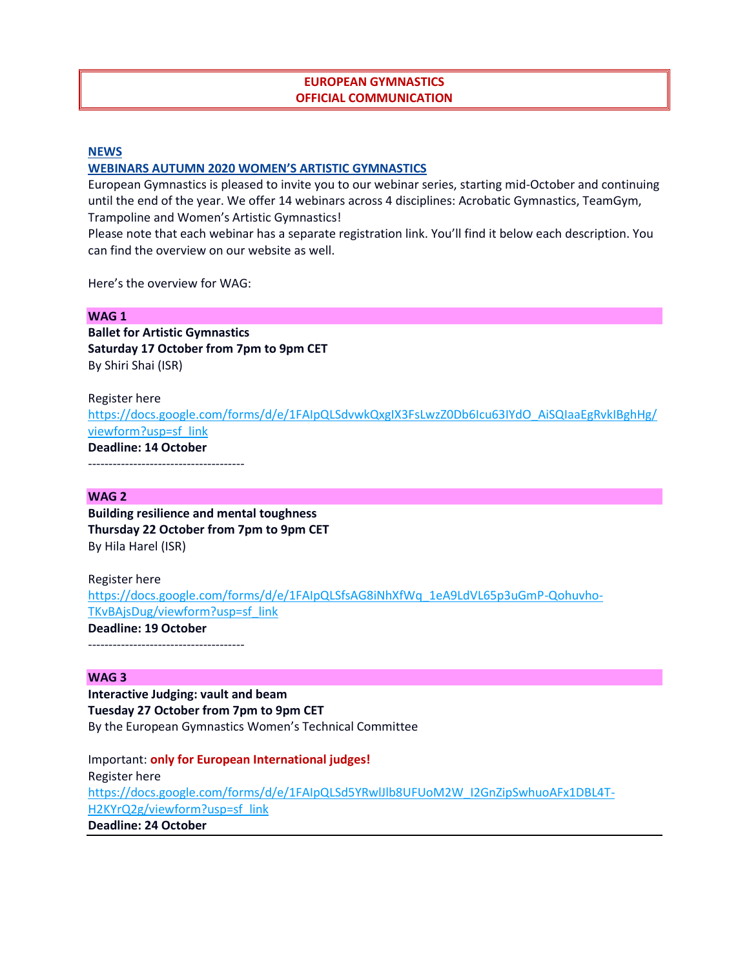# **EUROPEAN GYMNASTICS OFFICIAL COMMUNICATION**

#### **[NEWS](https://www.europeangymnastics.com/news)**

## **[WEBINARS AUTUMN 2020](https://www.europeangymnastics.com/news/webinars-autumn-2020) WOMEN'S ARTISTIC GYMNASTICS**

European Gymnastics is pleased to invite you to our webinar series, starting mid-October and continuing until the end of the year. We offer 14 webinars across 4 disciplines: Acrobatic Gymnastics, TeamGym, Trampoline and Women's Artistic Gymnastics!

Please note that each webinar has a separate registration link. You'll find it below each description. You can find the overview on our website as well.

Here's the overview for WAG:

## **WAG 1**

**Ballet for Artistic Gymnastics Saturday 17 October from 7pm to 9pm CET** By Shiri Shai (ISR)

Register here [https://docs.google.com/forms/d/e/1FAIpQLSdvwkQxgIX3FsLwzZ0Db6Icu63IYdO\\_AiSQIaaEgRvkIBghHg/](https://docs.google.com/forms/d/e/1FAIpQLSdvwkQxgIX3FsLwzZ0Db6Icu63IYdO_AiSQIaaEgRvkIBghHg/viewform?usp=sf_link) [viewform?usp=sf\\_link](https://docs.google.com/forms/d/e/1FAIpQLSdvwkQxgIX3FsLwzZ0Db6Icu63IYdO_AiSQIaaEgRvkIBghHg/viewform?usp=sf_link) **Deadline: 14 October**  $-$ 

## **WAG 2**

**Building resilience and mental toughness Thursday 22 October from 7pm to 9pm CET** By Hila Harel (ISR)

Register here [https://docs.google.com/forms/d/e/1FAIpQLSfsAG8iNhXfWq\\_1eA9LdVL65p3uGmP-Qohuvho-](https://docs.google.com/forms/d/e/1FAIpQLSfsAG8iNhXfWq_1eA9LdVL65p3uGmP-Qohuvho-TKvBAjsDug/viewform?usp=sf_link)[TKvBAjsDug/viewform?usp=sf\\_link](https://docs.google.com/forms/d/e/1FAIpQLSfsAG8iNhXfWq_1eA9LdVL65p3uGmP-Qohuvho-TKvBAjsDug/viewform?usp=sf_link) **Deadline: 19 October**

--------------------------------------

#### **WAG 3**

**Interactive Judging: vault and beam Tuesday 27 October from 7pm to 9pm CET** By the European Gymnastics Women's Technical Committee

Important: **only for European International judges!** Register here [https://docs.google.com/forms/d/e/1FAIpQLSd5YRwlJlb8UFUoM2W\\_I2GnZipSwhuoAFx1DBL4T-](https://docs.google.com/forms/d/e/1FAIpQLSd5YRwlJlb8UFUoM2W_I2GnZipSwhuoAFx1DBL4T-H2KYrQ2g/viewform?usp=sf_link)[H2KYrQ2g/viewform?usp=sf\\_link](https://docs.google.com/forms/d/e/1FAIpQLSd5YRwlJlb8UFUoM2W_I2GnZipSwhuoAFx1DBL4T-H2KYrQ2g/viewform?usp=sf_link) **Deadline: 24 October**